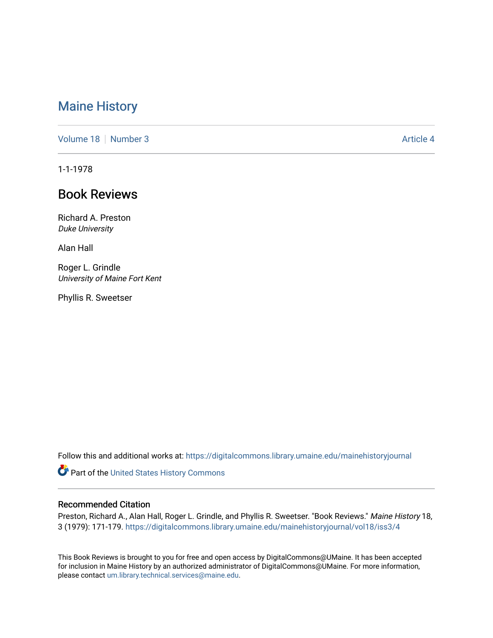## [Maine History](https://digitalcommons.library.umaine.edu/mainehistoryjournal)

[Volume 18](https://digitalcommons.library.umaine.edu/mainehistoryjournal/vol18) [Number 3](https://digitalcommons.library.umaine.edu/mainehistoryjournal/vol18/iss3) Article 4

1-1-1978

# Book Reviews

Richard A. Preston Duke University

Alan Hall

Roger L. Grindle University of Maine Fort Kent

Phyllis R. Sweetser

Follow this and additional works at: [https://digitalcommons.library.umaine.edu/mainehistoryjournal](https://digitalcommons.library.umaine.edu/mainehistoryjournal?utm_source=digitalcommons.library.umaine.edu%2Fmainehistoryjournal%2Fvol18%2Fiss3%2F4&utm_medium=PDF&utm_campaign=PDFCoverPages) 

Part of the [United States History Commons](http://network.bepress.com/hgg/discipline/495?utm_source=digitalcommons.library.umaine.edu%2Fmainehistoryjournal%2Fvol18%2Fiss3%2F4&utm_medium=PDF&utm_campaign=PDFCoverPages) 

#### Recommended Citation

Preston, Richard A., Alan Hall, Roger L. Grindle, and Phyllis R. Sweetser. "Book Reviews." Maine History 18, 3 (1979): 171-179. [https://digitalcommons.library.umaine.edu/mainehistoryjournal/vol18/iss3/4](https://digitalcommons.library.umaine.edu/mainehistoryjournal/vol18/iss3/4?utm_source=digitalcommons.library.umaine.edu%2Fmainehistoryjournal%2Fvol18%2Fiss3%2F4&utm_medium=PDF&utm_campaign=PDFCoverPages) 

This Book Reviews is brought to you for free and open access by DigitalCommons@UMaine. It has been accepted for inclusion in Maine History by an authorized administrator of DigitalCommons@UMaine. For more information, please contact [um.library.technical.services@maine.edu.](mailto:um.library.technical.services@maine.edu)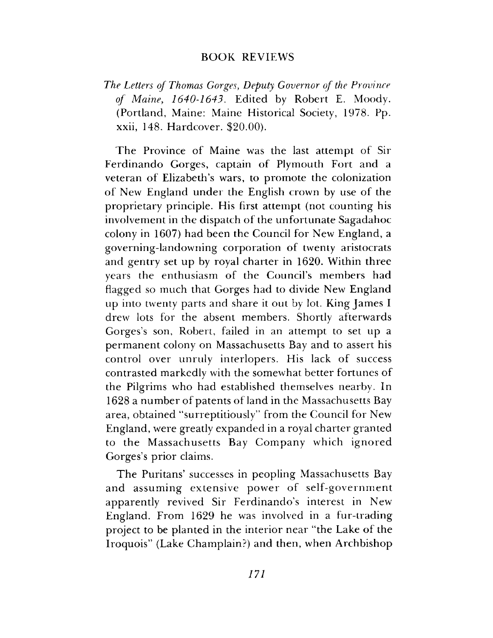### BOOK REVIEWS

### *The Letters of Thomas Gorges*, *Deputy Governor of the Province of Maine, 1640-1643*. Edited by Robert E. Moody. (Portland, Maine: Maine Historical Society, 1978. Pp. xxii, 148. Hardcover. \$20.00).

The Province of Maine was the last attempt of Sir Ferdinando Gorges, captain of Plymouth Fort and a veteran of Elizabeth's wars, to promote the colonization of New England under the English crown by use of the proprietary principle. His first attempt (not counting his involvement in the dispatch of the unfortunate Sagadahoc colony in 1607) had been the Council for New England, a governing-landow ning corporation of twenty aristocrats and gentry set up by royal charter in 1620. Within three years the enthusiasm of the Council's members had flagged so much that Gorges had to divide New England up into twenty parts and share it out by lot. King James  $I$ drew lots for the absent members. Shortly afterwards Gorges's son, Robert, failed in an attempt to set up a perm anent colony on Massachusetts Bay and to assert his control over unruly interlopers. His lack of success contrasted markedly with the somewhat better fortunes of the Pilgrims who had established themselves nearby. In 1628 a number of patents of land in the Massachusetts Bay area, obtained "surreptitiously" from the Council for New England, were greatly expanded in a royal charter granted to the Massachusetts Bay Company which ignored Gorges's prior claims.

The Puritans' successes in peopling Massachusetts Bay and assuming extensive power of self-government apparently revived Sir Ferdinando's interest in New England. From 1629 he was involved in a fur-trading project to be planted in the interior near "the Lake of the Iroquois" (Lake Champlain?) and then, when Archbishop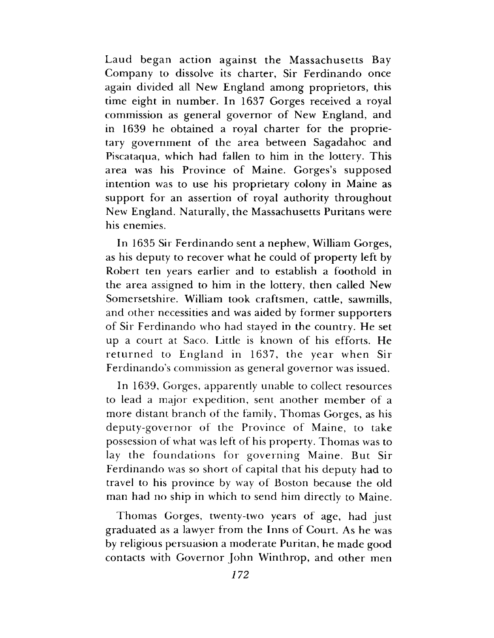Laud began action against the Massachusetts Bay Company to dissolve its charter, Sir Ferdinando once again divided all New England among proprietors, this time eight in num ber. In 1637 Gorges received a royal commission as general governor of New England, and in 1639 he obtained a royal charter for the proprietary government of the area between Sagadahoc and Piscataqua, which had fallen to him in the lottery. This area was his Province of Maine. Gorges's supposed intention was to use his proprietary colony in Maine as support for an assertion of royal authority throughout New England. Naturally, the Massachusetts Puritans were his enemies.

In 1635 Sir Ferdinando sent a nephew, William Gorges, as his deputy to recover what he could of property left by Robert ten years earlier and to establish a foothold in the area assigned to him in the lottery, then called New Somersetshire. William took craftsmen, cattle, sawmills, and other necessities and was aided by former supporters of Sir Ferdinando who had stayed in the country. He set up a court at Saco. Little is known of his efforts. He returned to England in 1637, the year when Sir Ferdinando's commission as general governor was issued.

In 1639, Gorges, apparently unable to collect resources to lead a major expedition, sent another member of a more distant branch of the family, Thomas Gorges, as his deputy-governor of the Province of Maine, to take possession of what was left of his property. Thomas was to lay the foundations for governing Maine. But Sir Ferdinando was so short of capital that his deputy had to travel to his province by way of Boston because the old man had no ship in which to send him directly to Maine.

Thomas Gorges, twenty-two years of age, had just graduated as a lawyer from the Inns of Court. As he was by religious persuasion a m oderate Puritan, he made good contacts with Governor John Winthrop, and other men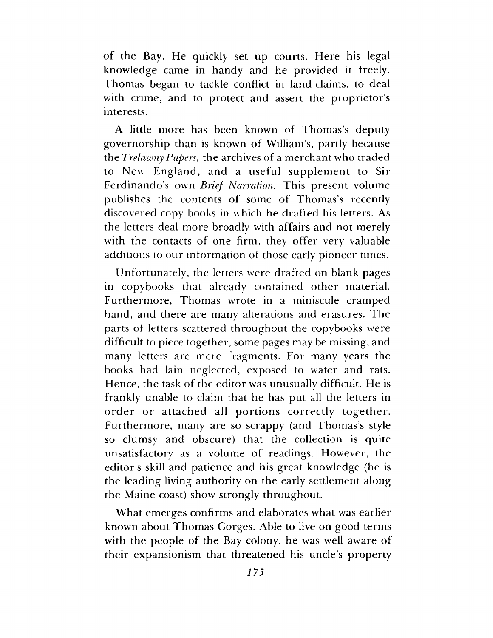of the Bay. He quickly set up courts. Here his legal knowledge came in handy and he provided it freely. Thomas began to tackle conflict in land-claims, to deal with crime, and to protect and assert the proprietor's interests.

A little more has been known of Thomas's deputy governorship than is known of William's, partly because the *Trelawny Papers*, the archives of a merchant who traded to New England, and a useful supplement to Sir Ferdinando's own *Brief Narration*. This present volume publishes the contents of some of Thomas's recently discovered copy books in which he drafted his letters. As the letters deal more broadly with affairs and not merely with the contacts of one firm, they offer very valuable additions to our information of those early pioneer times.

Unfortunately, the letters were drafted on blank pages in copybooks that already contained other material. Furthermore, Thomas wrote in a miniscule cramped hand, and there are many alterations and erasures. The parts of letters scattered throughout the copybooks were difficult to piece together, some pages may be missing, and many letters are mere fragments. For many years the books had lain neglected, exposed to water and rats. Hence, the task of the editor was unusually difficult. He is frankly unable to claim that he has put all the letters in order or attached all portions correctly together. Furthermore, many are so scrappy (and Thomas's style so clumsy and obscure) that the collection is quite unsatisfactory as a volume of readings. However, the editor s skill and patience and his great knowledge (he is the leading living authority on the early settlement along the Maine coast) show strongly throughout.

What emerges confirms and elaborates what was earlier known about Thomas Gorges. Able to live on good terms with the people of the Bay colony, he was well aware of their expansionism that threatened his uncle's property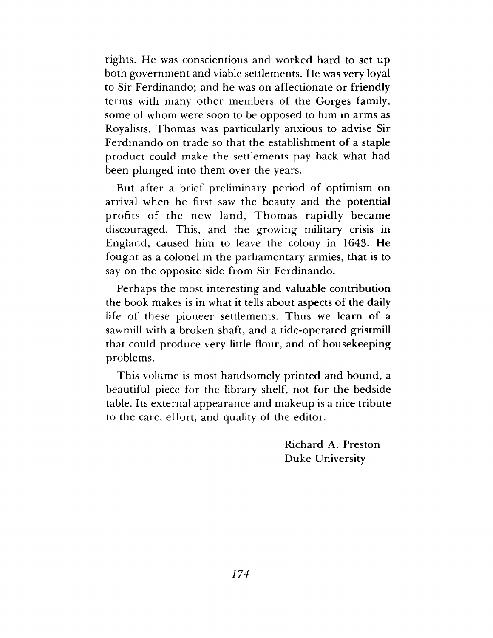rights. He was conscientious and worked hard to set up both government and viable settlements. He was very loyal to Sir Ferdinando; and he was on affectionate or friendly terms with many other members of the Gorges family, some of whom were soon to be opposed to him in arms as Royalists. Thom as was particularly anxious to advise Sir Ferdinando on trade so that the establishment of a staple product could make the settlements pay back what had been plunged into them over the years.

But after a brief preliminary period of optimism on arrival when he first saw the beauty and the potential profits of the new land, Thomas rapidly became discouraged. This, and the growing military crisis in England, caused him to leave the colony in 1643. He fought as a colonel in the parliamentary armies, that is to say on the opposite side from Sir Ferdinando.

Perhaps the most interesting and valuable contribution the book makes is in what it tells about aspects of the daily life of these pioneer settlements. Thus we learn of a sawmill with a broken shaft, and a tide-operated gristmill that could produce very little flour, and of housekeeping problems.

This volume is most handsomely printed and bound, a beautiful piece for the library shelf, not for the bedside table. Its external appearance and makeup is a nice tribute to the care, effort, and quality of the editor.

> Richard A. Preston Duke University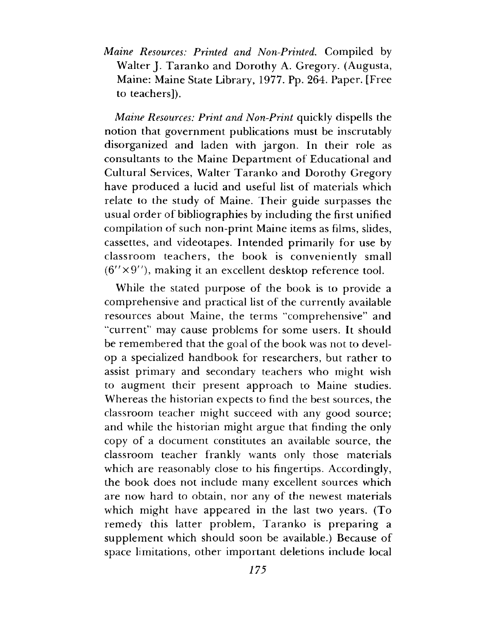*Maine Resources: Printed and Non-Printed.* Compiled by Walter J. Taranko and Dorothy A. Gregory. (Augusta, Maine: Maine State Library, 1977. Pp. 264. Paper. [Free to teachers]).

*Maine Resources: Print and Non-Print* quickly dispells the notion that government publications must be inscrutably disorganized and laden with jargon. In their role as consultants to the Maine Department of Educational and Cultural Services, Walter Taranko and Dorothy Gregory have produced a lucid and useful list of materials which relate to the study of Maine. Their guide surpasses the usual order of bibliographies by including the first unified compilation of such non-print Maine items as films, slides, cassettes, and videotapes. Intended primarily for use by classroom teachers, the book is conveniently small  $(6'' \times 9'')$ , making it an excellent desktop reference tool.

While the stated purpose of the book is to provide a com prehensive and practical list of the currently available resources about Maine, the terms "comprehensive" and "current" may cause problems for some users. It should be remembered that the goal of the book was not to develop a specialized handbook for researchers, but rather to assist primary and secondary teachers who might wish to augment their present approach to Maine studies. Whereas the historian expects to find the best sources, the classroom teacher might succeed with any good source; and while the historian might argue that finding the only copy of a document constitutes an available source, the classroom teacher frankly wants only those materials which are reasonably close to his fingertips. Accordingly, the book does not include many excellent sources which are now hard to obtain, nor any of the newest materials which might have appeared in the last two years. (To remedy this latter problem, Taranko is preparing a supplement which should soon be available.) Because of space limitations, other im portant deletions include local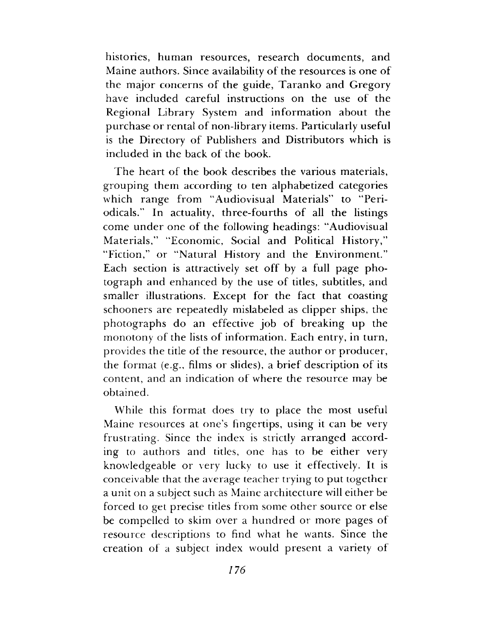histories, human resources, research documents, and Maine authors. Since availability of the resources is one of the major concerns of the guide, Taranko and Gregory have included careful instructions on the use of the Regional Library System and information about the purchase or rental of non-library items. Particularly useful is the Directory of Publishers and Distributors which is included in the back of the book.

The heart of the book describes the various materials, grouping them according to ten alphabetized categories which range from "Audiovisual Materials" to "Periodicals." In actuality, three-fourths of all the listings come under one of the following headings: "Audiovisual Materials," "Economic, Social and Political History," "Fiction," or "Natural History and the Environment." Each section is attractively set off by a full page photograph and enhanced by the use of titles, subtitles, and smaller illustrations. Except for the fact that coasting schooners are repeatedly mislabeled as clipper ships, the photographs do an effective job of breaking up the monotony of the lists of information. Each entry, in turn, provides the title of the resource, the author or producer, the format  $(e.g., films or slides)$ , a brief description of its content, and an indication of where the resource may be obtained.

While this format does try to place the most useful Maine resources at one's fingertips, using it can be very frustrating. Since the index is strictly arranged according to authors and titles, one has to be either very knowledgeable or very lucky to use it effectively. It is conceivable that the average teacher trying to put together a unit on a subject such as Maine architecture will either be forced to get precise titles from some other source or else be compelled to skim over a hundred or more pages of resource descriptions to find what he wants. Since the creation of a subject index would present a variety of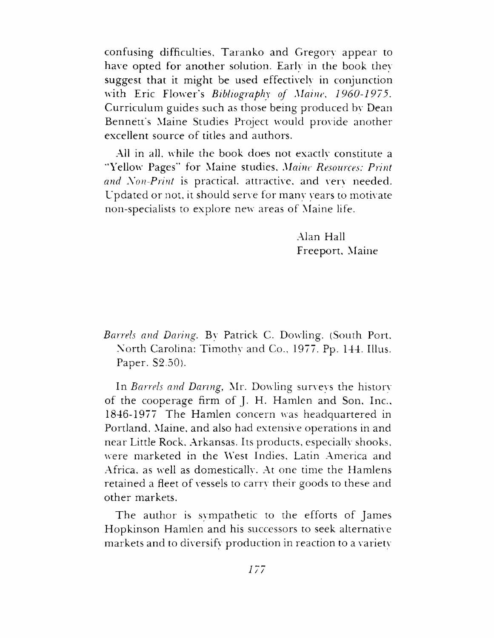confusing difficulties, T aranko and Gregory appear to have opted for another solution. Early in the book they suggest that it might be used effectively in conjunction with Eric Flower's *Bibliography of Maine, 1960-1975*. Curriculum guides such as those being produced by Dean Bennett's Maine Studies Project would provide another excellent source of titles and authors.

All in all, while the book does not exactly constitute a "Yellow Pages" for Maine studies, *Maine Resources: Print and Xon-Print* is practical, attractive, and very needed. U pdated or not, it should serve for many years to motivate non-specialists to explore new areas of Maine life.

> Alan Hall Freeport, Maine

*Barrels and Daring.* By Patrick C. Dowling. (South Port, North Carolina: Timothy and Co., 1977. Pp. 144. Illus. Paper. S2.50).

In *Barrels and Daring,* Mr. Dowling surveys the history of the cooperage firm of J. H. Hamlen and Son, Inc., 1846-1977 The Hamlen concern was headquartered in Portland, Maine, and also had extensive operations in and near Little Rock, Arkansas. Its products, especially shooks, were marketed in the West Indies, Latin America and Africa, as well as domestically. At one time the Hamlens retained a fleet of vessels to carry their goods to these and other markets.

The author is sympathetic to the efforts of James Hopkinson Hamlen and his successors to seek alternative markets and to diversify production in reaction to a variety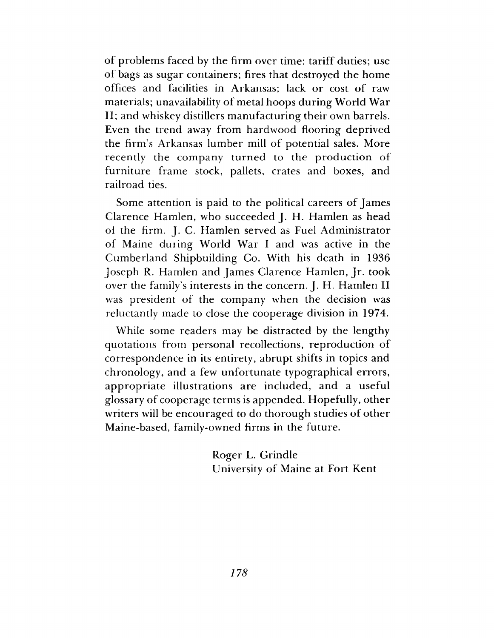of problems faced by the firm over time: tariff duties; use of bags as sugar containers; fires that destroyed the home offices and facilities in Arkansas; lack or cost of raw materials; unavailability of metal hoops during World War II; and whiskey distillers manufacturing their own barrels. Even the trend away from hardwood flooring deprived the firm 's Arkansas lum ber mill of potential sales. More recently the company turned to the production of furniture frame stock, pallets, crates and boxes, and railroad ties.

Some attention is paid to the political careers of James Clarence Hamlen, who succeeded J. H. Hamlen as head of the firm. J. C. Hamlen served as Fuel Administrator of Maine during World War I and was active in the Cumberland Shipbuilding Co. With his death in 1936 Joseph R. Hamlen and James Clarence Hamlen, Jr. took over the family's interests in the concern. J. H. Hamlen II was president of the company when the decision was reluctantly made to close the cooperage division in 1974.

While some readers may be distracted by the lengthy quotations from personal recollections, reproduction of correspondence in its entirety, abrupt shifts in topics and chronology, and a few unfortunate typographical errors, appropriate illustrations are included, and a useful glossary of cooperage terms is appended. Hopefully, other writers will be encouraged to do thorough studies of other Maine-based, family-owned firms in the future.

> Roger L. Grindle University of Maine at Fort Kent